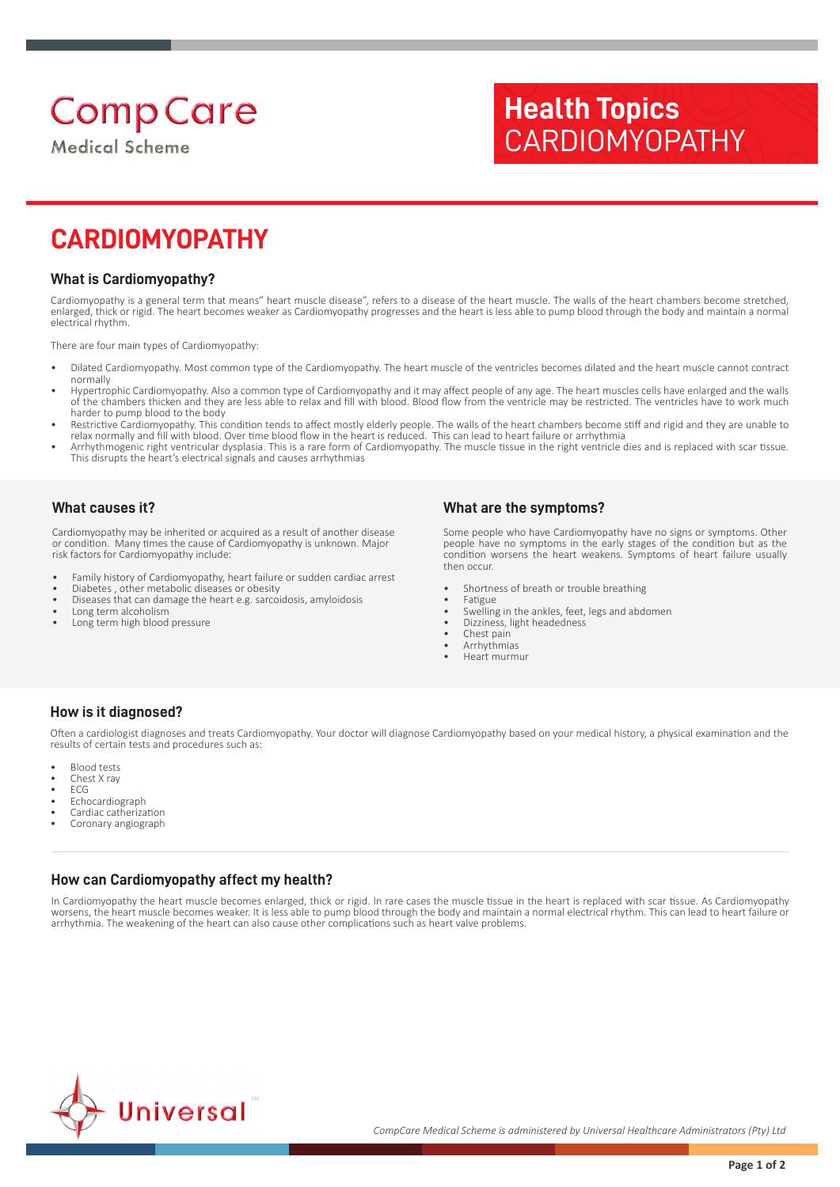# **Comp Care**

**Medical Scheme** 

## **Health Topics** CARDIOMYOPATHY

### **CARDIOMYOPATHY**

#### **What is Cardiomyopathy?**

Cardiomyopathy is a general term that means" heart muscle disease", refers to a disease of the heart muscle. The walls of the heart chambers become stretched, enlarged, thick or rigid. The heart becomes weaker as Cardiomyopathy progresses and the heart is less able to pump blood through the body and maintain a normal electrical rhythm.

There are four main types of Cardiomyopathy:

- Dilated Cardiomyopathy. Most common type of the Cardiomyopathy. The heart muscle of the ventricles becomes dilated and the heart muscle cannot contract normally
- Hypertrophic Cardiomyopathy. Also a common type of Cardiomyopathy and it may affect people of any age. The heart muscles cells have enlarged and the walls of the chambers thicken and they are less able to relax and fill with blood. Blood flow from the ventricle may be restricted. The ventricles have to work much harder to pump blood to the body
- Restrictive Cardiomyopathy. This condition tends to affect mostly elderly people. The walls of the heart chambers become stiff and rigid and they are unable to relax normally and fill with blood. Over time blood flow in the heart is reduced. This can lead to heart failure or arrhythmia
- Arrhythmogenic right ventricular dysplasia. This is a rare form of Cardiomyopathy. The muscle tissue in the right ventricle dies and is replaced with scar tissue. This disrupts the heart's electrical signals and causes arrhythmias

#### **What causes it?**

Cardiomyopathy may be inherited or acquired as a result of another disease or condition. Many times the cause of Cardiomyopathy is unknown. Major risk factors for Cardiomyopathy include:

- Family history of Cardiomyopathy, heart failure or sudden cardiac arrest
- Diabetes , other metabolic diseases or obesity
- Diseases that can damage the heart e.g. sarcoidosis, amyloidosis • Long term alcoholism
- Long term high blood pressure

#### **What are the symptoms?**

Some people who have Cardiomyopathy have no signs or symptoms. Other people have no symptoms in the early stages of the condition but as the condition worsens the heart weakens. Symptoms of heart failure usually then occur.

- Shortness of breath or trouble breathing
- **Fatigue**
- Swelling in the ankles, feet, legs and abdomen
- Dizziness, light headedness • Chest pain
- Arrhythmias
- Heart murmur
- 

#### **How is it diagnosed?**

Often a cardiologist diagnoses and treats Cardiomyopathy. Your doctor will diagnose Cardiomyopathy based on your medical history, a physical examination and the results of certain tests and procedures such as:

- **Blood tests**
- Chest X ray
- ECG
- Echocardiograph
- Cardiac catherization
- Coronary angiograph

#### **How can Cardiomyopathy affect my health?**

In Cardiomyopathy the heart muscle becomes enlarged, thick or rigid. In rare cases the muscle tissue in the heart is replaced with scar tissue. As Cardiomyopathy worsens, the heart muscle becomes weaker. It is less able to pump blood through the body and maintain a normal electrical rhythm. This can lead to heart failure or arrhythmia. The weakening of the heart can also cause other complications such as heart valve problems.